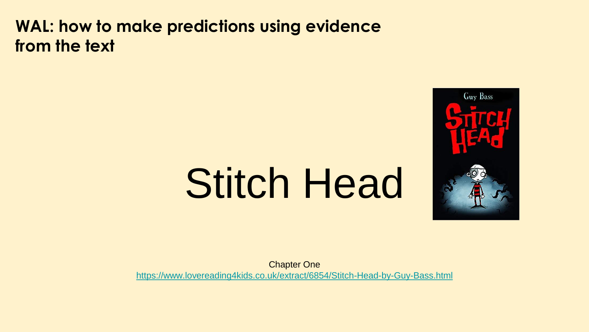#### **WAL: how to make predictions using evidence from the text**

# Stitch Head



Chapter One <https://www.lovereading4kids.co.uk/extract/6854/Stitch-Head-by-Guy-Bass.html>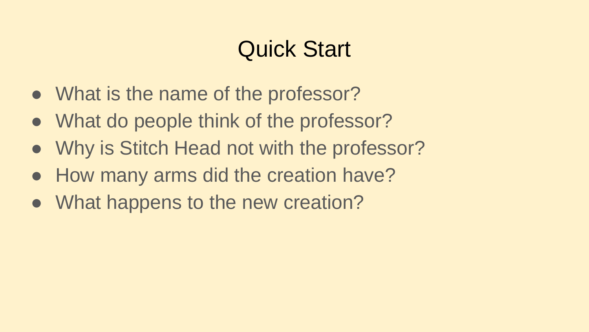# Quick Start

- What is the name of the professor?
- What do people think of the professor?
- Why is Stitch Head not with the professor?
- How many arms did the creation have?
- What happens to the new creation?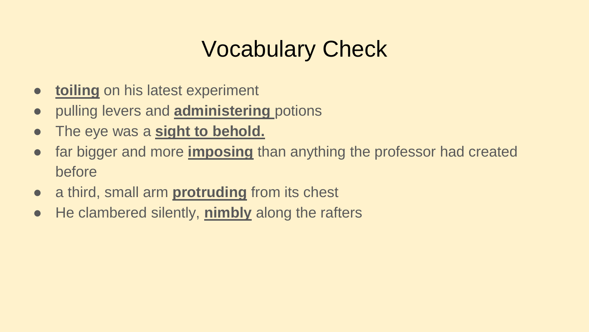# Vocabulary Check

- **toiling** on his latest experiment
- pulling levers and **administering** potions
- The eye was a **sight to behold.**
- far bigger and more **imposing** than anything the professor had created before
- a third, small arm **protruding** from its chest
- He clambered silently, **nimbly** along the rafters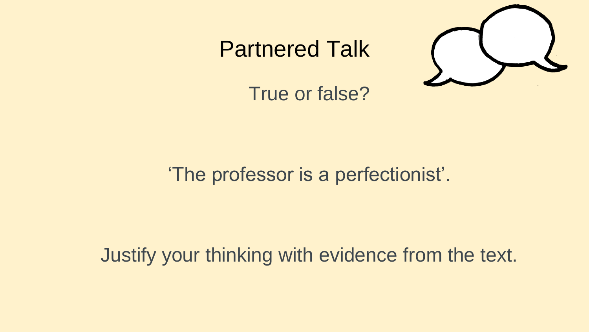#### Partnered Talk



True or false?

#### 'The professor is a perfectionist'.

#### Justify your thinking with evidence from the text.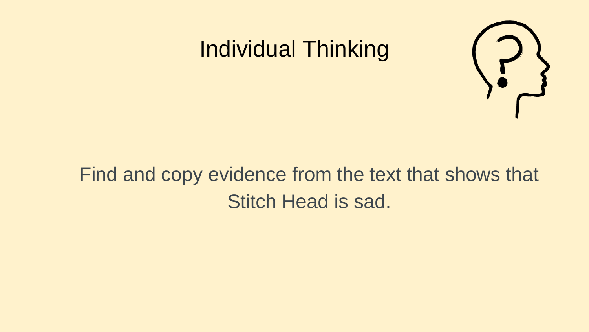#### Individual Thinking



#### Find and copy evidence from the text that shows that Stitch Head is sad.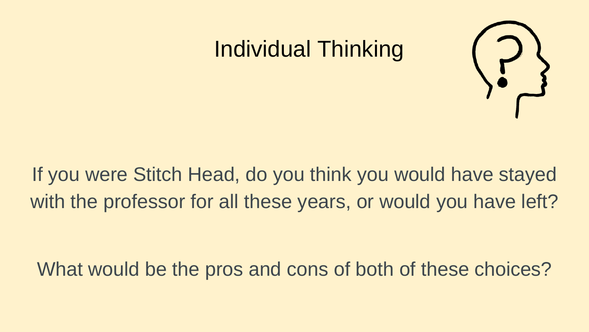### Individual Thinking



If you were Stitch Head, do you think you would have stayed with the professor for all these years, or would you have left?

What would be the pros and cons of both of these choices?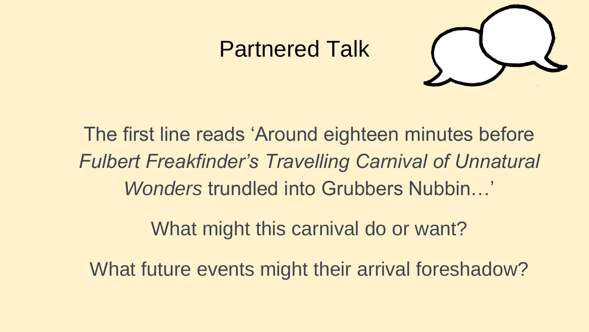#### Partnered Talk



The first line reads 'Around eighteen minutes before *Fulbert Freakfinder's Travelling Carnival of Unnatural Wonders* trundled into Grubbers Nubbin…'

What might this carnival do or want?

What future events might their arrival foreshadow?